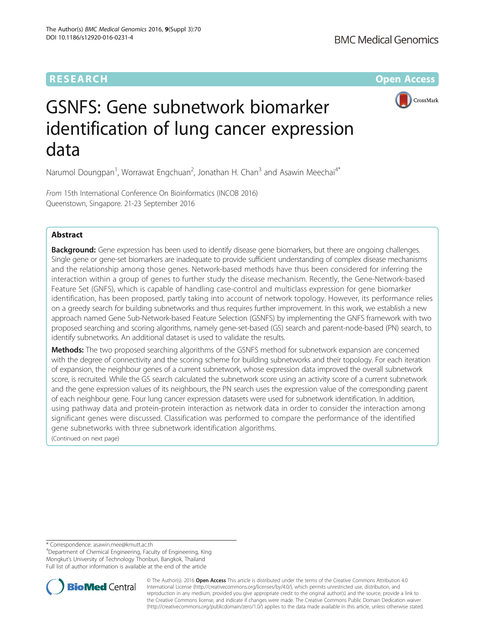# RESEARCH **RESEARCH CONSUMING THE CONSUMING THE CONSUMING THE CONSUMING TEAM Open Access**



# GSNFS: Gene subnetwork biomarker identification of lung cancer expression data

Narumol Doungpan<sup>1</sup>, Worrawat Engchuan<sup>2</sup>, Jonathan H. Chan<sup>3</sup> and Asawin Meechai<sup>4\*</sup>

From 15th International Conference On Bioinformatics (INCOB 2016) Queenstown, Singapore. 21-23 September 2016

# Abstract

**Background:** Gene expression has been used to identify disease gene biomarkers, but there are ongoing challenges. Single gene or gene-set biomarkers are inadequate to provide sufficient understanding of complex disease mechanisms and the relationship among those genes. Network-based methods have thus been considered for inferring the interaction within a group of genes to further study the disease mechanism. Recently, the Gene-Network-based Feature Set (GNFS), which is capable of handling case-control and multiclass expression for gene biomarker identification, has been proposed, partly taking into account of network topology. However, its performance relies on a greedy search for building subnetworks and thus requires further improvement. In this work, we establish a new approach named Gene Sub-Network-based Feature Selection (GSNFS) by implementing the GNFS framework with two proposed searching and scoring algorithms, namely gene-set-based (GS) search and parent-node-based (PN) search, to identify subnetworks. An additional dataset is used to validate the results.

Methods: The two proposed searching algorithms of the GSNFS method for subnetwork expansion are concerned with the degree of connectivity and the scoring scheme for building subnetworks and their topology. For each iteration of expansion, the neighbour genes of a current subnetwork, whose expression data improved the overall subnetwork score, is recruited. While the GS search calculated the subnetwork score using an activity score of a current subnetwork and the gene expression values of its neighbours, the PN search uses the expression value of the corresponding parent of each neighbour gene. Four lung cancer expression datasets were used for subnetwork identification. In addition, using pathway data and protein-protein interaction as network data in order to consider the interaction among significant genes were discussed. Classification was performed to compare the performance of the identified gene subnetworks with three subnetwork identification algorithms. (Continued on next page)

\* Correspondence: [asawin.mee@kmutt.ac.th](mailto:asawin.mee@kmutt.ac.th) <sup>4</sup>

Department of Chemical Engineering, Faculty of Engineering, King Mongkut's University of Technology Thonburi, Bangkok, Thailand Full list of author information is available at the end of the article



© The Author(s). 2016 Open Access This article is distributed under the terms of the Creative Commons Attribution 4.0 International License [\(http://creativecommons.org/licenses/by/4.0/](http://creativecommons.org/licenses/by/4.0/)), which permits unrestricted use, distribution, and reproduction in any medium, provided you give appropriate credit to the original author(s) and the source, provide a link to the Creative Commons license, and indicate if changes were made. The Creative Commons Public Domain Dedication waiver [\(http://creativecommons.org/publicdomain/zero/1.0/](http://creativecommons.org/publicdomain/zero/1.0/)) applies to the data made available in this article, unless otherwise stated.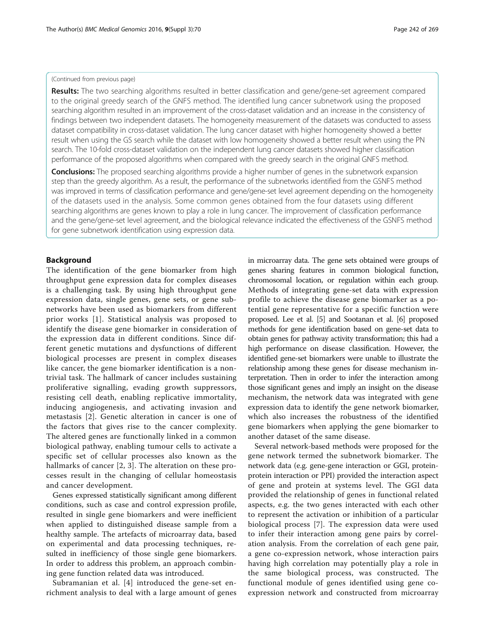#### (Continued from previous page)

Results: The two searching algorithms resulted in better classification and gene/gene-set agreement compared to the original greedy search of the GNFS method. The identified lung cancer subnetwork using the proposed searching algorithm resulted in an improvement of the cross-dataset validation and an increase in the consistency of findings between two independent datasets. The homogeneity measurement of the datasets was conducted to assess dataset compatibility in cross-dataset validation. The lung cancer dataset with higher homogeneity showed a better result when using the GS search while the dataset with low homogeneity showed a better result when using the PN search. The 10-fold cross-dataset validation on the independent lung cancer datasets showed higher classification performance of the proposed algorithms when compared with the greedy search in the original GNFS method.

**Conclusions:** The proposed searching algorithms provide a higher number of genes in the subnetwork expansion step than the greedy algorithm. As a result, the performance of the subnetworks identified from the GSNFS method was improved in terms of classification performance and gene/gene-set level agreement depending on the homogeneity of the datasets used in the analysis. Some common genes obtained from the four datasets using different searching algorithms are genes known to play a role in lung cancer. The improvement of classification performance and the gene/gene-set level agreement, and the biological relevance indicated the effectiveness of the GSNFS method for gene subnetwork identification using expression data.

#### Background

The identification of the gene biomarker from high throughput gene expression data for complex diseases is a challenging task. By using high throughput gene expression data, single genes, gene sets, or gene subnetworks have been used as biomarkers from different prior works [[1\]](#page-9-0). Statistical analysis was proposed to identify the disease gene biomarker in consideration of the expression data in different conditions. Since different genetic mutations and dysfunctions of different biological processes are present in complex diseases like cancer, the gene biomarker identification is a nontrivial task. The hallmark of cancer includes sustaining proliferative signalling, evading growth suppressors, resisting cell death, enabling replicative immortality, inducing angiogenesis, and activating invasion and metastasis [\[2](#page-9-0)]. Genetic alteration in cancer is one of the factors that gives rise to the cancer complexity. The altered genes are functionally linked in a common biological pathway, enabling tumour cells to activate a specific set of cellular processes also known as the hallmarks of cancer [\[2, 3\]](#page-9-0). The alteration on these processes result in the changing of cellular homeostasis and cancer development.

Genes expressed statistically significant among different conditions, such as case and control expression profile, resulted in single gene biomarkers and were inefficient when applied to distinguished disease sample from a healthy sample. The artefacts of microarray data, based on experimental and data processing techniques, resulted in inefficiency of those single gene biomarkers. In order to address this problem, an approach combining gene function related data was introduced.

Subramanian et al. [[4](#page-9-0)] introduced the gene-set enrichment analysis to deal with a large amount of genes in microarray data. The gene sets obtained were groups of genes sharing features in common biological function, chromosomal location, or regulation within each group. Methods of integrating gene-set data with expression profile to achieve the disease gene biomarker as a potential gene representative for a specific function were proposed. Lee et al. [\[5\]](#page-9-0) and Sootanan et al. [\[6\]](#page-9-0) proposed methods for gene identification based on gene-set data to obtain genes for pathway activity transformation; this had a high performance on disease classification. However, the identified gene-set biomarkers were unable to illustrate the relationship among these genes for disease mechanism interpretation. Then in order to infer the interaction among those significant genes and imply an insight on the disease mechanism, the network data was integrated with gene expression data to identify the gene network biomarker, which also increases the robustness of the identified gene biomarkers when applying the gene biomarker to another dataset of the same disease.

Several network-based methods were proposed for the gene network termed the subnetwork biomarker. The network data (e.g. gene-gene interaction or GGI, proteinprotein interaction or PPI) provided the interaction aspect of gene and protein at systems level. The GGI data provided the relationship of genes in functional related aspects, e.g. the two genes interacted with each other to represent the activation or inhibition of a particular biological process [[7\]](#page-9-0). The expression data were used to infer their interaction among gene pairs by correlation analysis. From the correlation of each gene pair, a gene co-expression network, whose interaction pairs having high correlation may potentially play a role in the same biological process, was constructed. The functional module of genes identified using gene coexpression network and constructed from microarray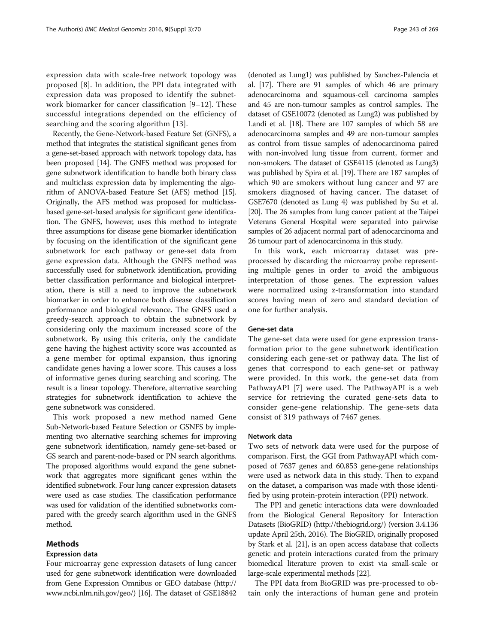expression data with scale-free network topology was proposed [\[8](#page-9-0)]. In addition, the PPI data integrated with expression data was proposed to identify the subnetwork biomarker for cancer classification [\[9](#page-9-0)–[12\]](#page-9-0). These successful integrations depended on the efficiency of searching and the scoring algorithm [\[13](#page-9-0)].

Recently, the Gene-Network-based Feature Set (GNFS), a method that integrates the statistical significant genes from a gene-set-based approach with network topology data, has been proposed [\[14](#page-9-0)]. The GNFS method was proposed for gene subnetwork identification to handle both binary class and multiclass expression data by implementing the algorithm of ANOVA-based Feature Set (AFS) method [\[15](#page-9-0)]. Originally, the AFS method was proposed for multiclassbased gene-set-based analysis for significant gene identification. The GNFS, however, uses this method to integrate three assumptions for disease gene biomarker identification by focusing on the identification of the significant gene subnetwork for each pathway or gene-set data from gene expression data. Although the GNFS method was successfully used for subnetwork identification, providing better classification performance and biological interpretation, there is still a need to improve the subnetwork biomarker in order to enhance both disease classification performance and biological relevance. The GNFS used a greedy-search approach to obtain the subnetwork by considering only the maximum increased score of the subnetwork. By using this criteria, only the candidate gene having the highest activity score was accounted as a gene member for optimal expansion, thus ignoring candidate genes having a lower score. This causes a loss of informative genes during searching and scoring. The result is a linear topology. Therefore, alternative searching strategies for subnetwork identification to achieve the gene subnetwork was considered.

This work proposed a new method named Gene Sub-Network-based Feature Selection or GSNFS by implementing two alternative searching schemes for improving gene subnetwork identification, namely gene-set-based or GS search and parent-node-based or PN search algorithms. The proposed algorithms would expand the gene subnetwork that aggregates more significant genes within the identified subnetwork. Four lung cancer expression datasets were used as case studies. The classification performance was used for validation of the identified subnetworks compared with the greedy search algorithm used in the GNFS method.

## Methods

## Expression data

Four microarray gene expression datasets of lung cancer used for gene subnetwork identification were downloaded from Gene Expression Omnibus or GEO database [\(http://](http://www.ncbi.nlm.nih.gov/geo/) [www.ncbi.nlm.nih.gov/geo/\)](http://www.ncbi.nlm.nih.gov/geo/) [[16](#page-9-0)]. The dataset of GSE18842

(denoted as Lung1) was published by Sanchez-Palencia et al. [\[17\]](#page-9-0). There are 91 samples of which 46 are primary adenocarcinoma and squamous-cell carcinoma samples and 45 are non-tumour samples as control samples. The dataset of GSE10072 (denoted as Lung2) was published by Landi et al. [\[18\]](#page-9-0). There are 107 samples of which 58 are adenocarcinoma samples and 49 are non-tumour samples as control from tissue samples of adenocarcinoma paired with non-involved lung tissue from current, former and non-smokers. The dataset of GSE4115 (denoted as Lung3) was published by Spira et al. [\[19](#page-9-0)]. There are 187 samples of which 90 are smokers without lung cancer and 97 are smokers diagnosed of having cancer. The dataset of GSE7670 (denoted as Lung 4) was published by Su et al. [[20](#page-9-0)]. The 26 samples from lung cancer patient at the Taipei Veterans General Hospital were separated into pairwise samples of 26 adjacent normal part of adenocarcinoma and 26 tumour part of adenocarcinoma in this study.

In this work, each microarray dataset was preprocessed by discarding the microarray probe representing multiple genes in order to avoid the ambiguous interpretation of those genes. The expression values were normalized using z-transformation into standard scores having mean of zero and standard deviation of one for further analysis.

## Gene-set data

The gene-set data were used for gene expression transformation prior to the gene subnetwork identification considering each gene-set or pathway data. The list of genes that correspond to each gene-set or pathway were provided. In this work, the gene-set data from PathwayAPI [[7\]](#page-9-0) were used. The PathwayAPI is a web service for retrieving the curated gene-sets data to consider gene-gene relationship. The gene-sets data consist of 319 pathways of 7467 genes.

#### Network data

Two sets of network data were used for the purpose of comparison. First, the GGI from PathwayAPI which composed of 7637 genes and 60,853 gene-gene relationships were used as network data in this study. Then to expand on the dataset, a comparison was made with those identified by using protein-protein interaction (PPI) network.

The PPI and genetic interactions data were downloaded from the Biological General Repository for Interaction Datasets (BioGRID) [\(http://thebiogrid.org/](http://thebiogrid.org/)) (version 3.4.136 update April 25th, 2016). The BioGRID, originally proposed by Stark et al. [\[21\]](#page-9-0), is an open access database that collects genetic and protein interactions curated from the primary biomedical literature proven to exist via small-scale or large-scale experimental methods [\[22\]](#page-9-0).

The PPI data from BioGRID was pre-processed to obtain only the interactions of human gene and protein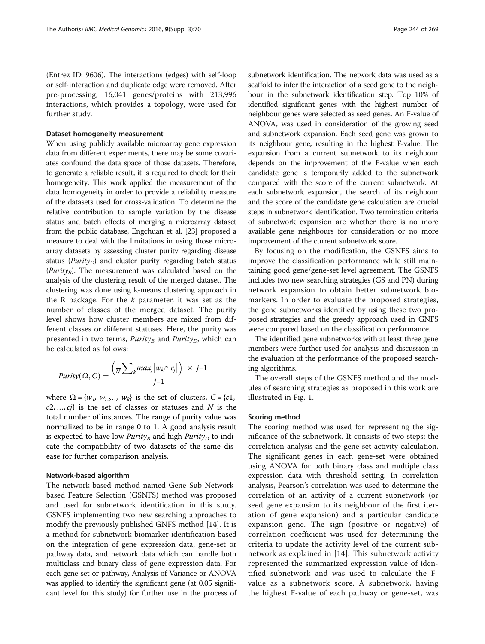(Entrez ID: 9606). The interactions (edges) with self-loop or self-interaction and duplicate edge were removed. After pre-processing, 16,041 genes/proteins with 213,996 interactions, which provides a topology, were used for further study.

#### Dataset homogeneity measurement

When using publicly available microarray gene expression data from different experiments, there may be some covariates confound the data space of those datasets. Therefore, to generate a reliable result, it is required to check for their homogeneity. This work applied the measurement of the data homogeneity in order to provide a reliability measure of the datasets used for cross-validation. To determine the relative contribution to sample variation by the disease status and batch effects of merging a microarray dataset from the public database, Engchuan et al. [\[23\]](#page-9-0) proposed a measure to deal with the limitations in using those microarray datasets by assessing cluster purity regarding disease status ( $Purity_D$ ) and cluster purity regarding batch status  $(Purity_B)$ . The measurement was calculated based on the analysis of the clustering result of the merged dataset. The clustering was done using k-means clustering approach in the R package. For the  $k$  parameter, it was set as the number of classes of the merged dataset. The purity level shows how cluster members are mixed from different classes or different statuses. Here, the purity was presented in two terms,  $Purity_B$  and  $Purity_D$ , which can be calculated as follows:

$$
Purity(\Omega, C) = \frac{\left(\frac{1}{N}\sum_{k} max_{j} |w_{k} \cap c_{j}|\right) \times j-1}{j-1}
$$

where  $\Omega = \{w_1, w_2, ..., w_k\}$  is the set of clusters,  $C = \{c_1,$  $c_1, ..., c_j$  is the set of classes or statuses and N is the total number of instances. The range of purity value was normalized to be in range 0 to 1. A good analysis result is expected to have low *Purity<sub>B</sub>* and high *Purity<sub>D</sub>* to indicate the compatibility of two datasets of the same disease for further comparison analysis.

#### Network-based algorithm

The network-based method named Gene Sub-Networkbased Feature Selection (GSNFS) method was proposed and used for subnetwork identification in this study. GSNFS implementing two new searching approaches to modify the previously published GNFS method [[14](#page-9-0)]. It is a method for subnetwork biomarker identification based on the integration of gene expression data, gene-set or pathway data, and network data which can handle both multiclass and binary class of gene expression data. For each gene-set or pathway, Analysis of Variance or ANOVA was applied to identify the significant gene (at 0.05 significant level for this study) for further use in the process of subnetwork identification. The network data was used as a scaffold to infer the interaction of a seed gene to the neighbour in the subnetwork identification step. Top 10% of identified significant genes with the highest number of neighbour genes were selected as seed genes. An F-value of ANOVA, was used in consideration of the growing seed and subnetwork expansion. Each seed gene was grown to its neighbour gene, resulting in the highest F-value. The expansion from a current subnetwork to its neighbour depends on the improvement of the F-value when each candidate gene is temporarily added to the subnetwork compared with the score of the current subnetwork. At each subnetwork expansion, the search of its neighbour and the score of the candidate gene calculation are crucial steps in subnetwork identification. Two termination criteria of subnetwork expansion are whether there is no more available gene neighbours for consideration or no more improvement of the current subnetwork score.

By focusing on the modification, the GSNFS aims to improve the classification performance while still maintaining good gene/gene-set level agreement. The GSNFS includes two new searching strategies (GS and PN) during network expansion to obtain better subnetwork biomarkers. In order to evaluate the proposed strategies, the gene subnetworks identified by using these two proposed strategies and the greedy approach used in GNFS were compared based on the classification performance.

The identified gene subnetworks with at least three gene members were further used for analysis and discussion in the evaluation of the performance of the proposed searching algorithms.

The overall steps of the GSNFS method and the modules of searching strategies as proposed in this work are illustrated in Fig. [1](#page-4-0).

## Scoring method

The scoring method was used for representing the significance of the subnetwork. It consists of two steps: the correlation analysis and the gene-set activity calculation. The significant genes in each gene-set were obtained using ANOVA for both binary class and multiple class expression data with threshold setting. In correlation analysis, Pearson's correlation was used to determine the correlation of an activity of a current subnetwork (or seed gene expansion to its neighbour of the first iteration of gene expansion) and a particular candidate expansion gene. The sign (positive or negative) of correlation coefficient was used for determining the criteria to update the activity level of the current subnetwork as explained in [[14](#page-9-0)]. This subnetwork activity represented the summarized expression value of identified subnetwork and was used to calculate the Fvalue as a subnetwork score. A subnetwork, having the highest F-value of each pathway or gene-set, was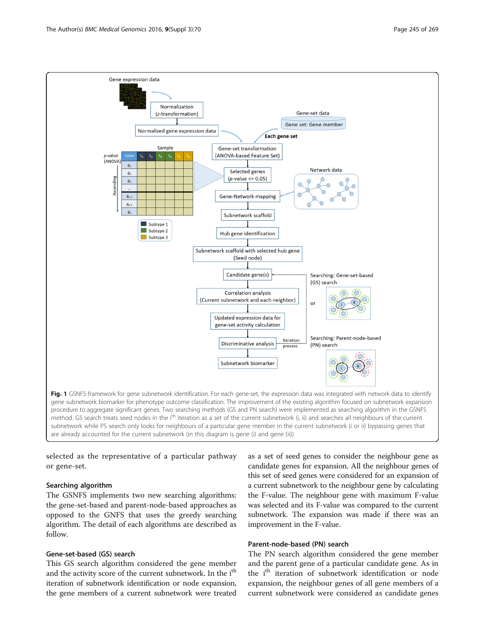<span id="page-4-0"></span>

selected as the representative of a particular pathway or gene-set.

#### Searching algorithm

The GSNFS implements two new searching algorithms: the gene-set-based and parent-node-based approaches as opposed to the GNFS that uses the greedy searching algorithm. The detail of each algorithms are described as follow.

## Gene-set-based (GS) search

This GS search algorithm considered the gene member and the activity score of the current subnetwork. In the i<sup>th</sup> iteration of subnetwork identification or node expansion, the gene members of a current subnetwork were treated

as a set of seed genes to consider the neighbour gene as candidate genes for expansion. All the neighbour genes of this set of seed genes were considered for an expansion of a current subnetwork to the neighbour gene by calculating the F-value. The neighbour gene with maximum F-value was selected and its F-value was compared to the current subnetwork. The expansion was made if there was an improvement in the F-value.

#### Parent-node-based (PN) search

The PN search algorithm considered the gene member and the parent gene of a particular candidate gene. As in the i<sup>th</sup> iteration of subnetwork identification or node expansion, the neighbour genes of all gene members of a current subnetwork were considered as candidate genes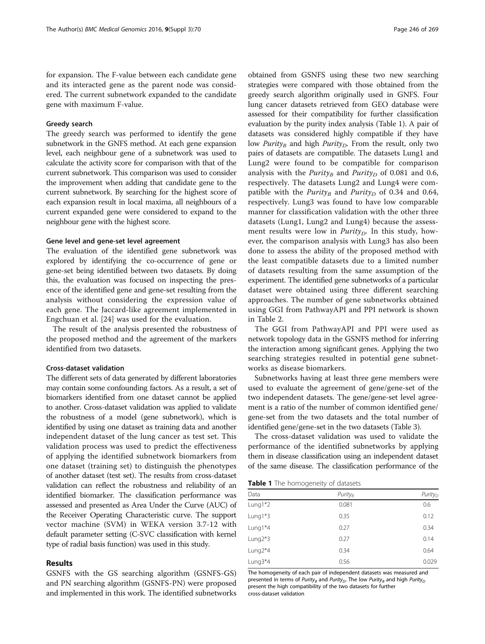<span id="page-5-0"></span>for expansion. The F-value between each candidate gene and its interacted gene as the parent node was considered. The current subnetwork expanded to the candidate gene with maximum F-value.

#### Greedy search

The greedy search was performed to identify the gene subnetwork in the GNFS method. At each gene expansion level, each neighbour gene of a subnetwork was used to calculate the activity score for comparison with that of the current subnetwork. This comparison was used to consider the improvement when adding that candidate gene to the current subnetwork. By searching for the highest score of each expansion result in local maxima, all neighbours of a current expanded gene were considered to expand to the neighbour gene with the highest score.

#### Gene level and gene-set level agreement

The evaluation of the identified gene subnetwork was explored by identifying the co-occurrence of gene or gene-set being identified between two datasets. By doing this, the evaluation was focused on inspecting the presence of the identified gene and gene-set resulting from the analysis without considering the expression value of each gene. The Jaccard-like agreement implemented in Engchuan et al. [[24](#page-9-0)] was used for the evaluation.

The result of the analysis presented the robustness of the proposed method and the agreement of the markers identified from two datasets.

## Cross-dataset validation

The different sets of data generated by different laboratories may contain some confounding factors. As a result, a set of biomarkers identified from one dataset cannot be applied to another. Cross-dataset validation was applied to validate the robustness of a model (gene subnetwork), which is identified by using one dataset as training data and another independent dataset of the lung cancer as test set. This validation process was used to predict the effectiveness of applying the identified subnetwork biomarkers from one dataset (training set) to distinguish the phenotypes of another dataset (test set). The results from cross-dataset validation can reflect the robustness and reliability of an identified biomarker. The classification performance was assessed and presented as Area Under the Curve (AUC) of the Receiver Operating Characteristic curve. The support vector machine (SVM) in WEKA version 3.7-12 with default parameter setting (C-SVC classification with kernel type of radial basis function) was used in this study.

#### Results

GSNFS with the GS searching algorithm (GSNFS-GS) and PN searching algorithm (GSNFS-PN) were proposed and implemented in this work. The identified subnetworks obtained from GSNFS using these two new searching strategies were compared with those obtained from the greedy search algorithm originally used in GNFS. Four lung cancer datasets retrieved from GEO database were assessed for their compatibility for further classification evaluation by the purity index analysis (Table 1). A pair of datasets was considered highly compatible if they have low *Purity<sub>B</sub>* and high *Purity<sub>D</sub>*. From the result, only two pairs of datasets are compatible. The datasets Lung1 and Lung2 were found to be compatible for comparison analysis with the Purity<sub>B</sub> and Purity<sub>D</sub> of 0.081 and 0.6, respectively. The datasets Lung2 and Lung4 were compatible with the *Purity<sub>B</sub>* and *Purity<sub>D</sub>* of 0.34 and 0.64, respectively. Lung3 was found to have low comparable manner for classification validation with the other three datasets (Lung1, Lung2 and Lung4) because the assessment results were low in *Purity*<sub>D</sub>. In this study, however, the comparison analysis with Lung3 has also been done to assess the ability of the proposed method with the least compatible datasets due to a limited number of datasets resulting from the same assumption of the experiment. The identified gene subnetworks of a particular dataset were obtained using three different searching approaches. The number of gene subnetworks obtained using GGI from PathwayAPI and PPI network is shown in Table [2](#page-6-0).

The GGI from PathwayAPI and PPI were used as network topology data in the GSNFS method for inferring the interaction among significant genes. Applying the two searching strategies resulted in potential gene subnetworks as disease biomarkers.

Subnetworks having at least three gene members were used to evaluate the agreement of gene/gene-set of the two independent datasets. The gene/gene-set level agreement is a ratio of the number of common identified gene/ gene-set from the two datasets and the total number of identified gene/gene-set in the two datasets (Table [3\)](#page-6-0).

The cross-dataset validation was used to validate the performance of the identified subnetworks by applying them in disease classification using an independent dataset of the same disease. The classification performance of the

| Table 1 The homogeneity of datasets |
|-------------------------------------|
|-------------------------------------|

| Data       | Purity <sub>B</sub> | Purity <sub>D</sub> |  |  |
|------------|---------------------|---------------------|--|--|
| Lung $1*2$ | 0.081               | 0.6                 |  |  |
| Lung $1*3$ | 0.35                | 0.12                |  |  |
| Lung $1*4$ | 0.27                | 0.34                |  |  |
| Lung $2*3$ | 0.27                | 0.14                |  |  |
| Lung $2*4$ | 0.34                | 0.64                |  |  |
| Lung3*4    | 0.56                | 0.029               |  |  |

The homogeneity of each pair of independent datasets was measured and presented in terms of Purity<sub>B</sub> and Purity<sub>D</sub>. The low Purity<sub>B</sub> and high Purity<sub>D</sub> present the high compatibility of the two datasets for further cross-dataset validation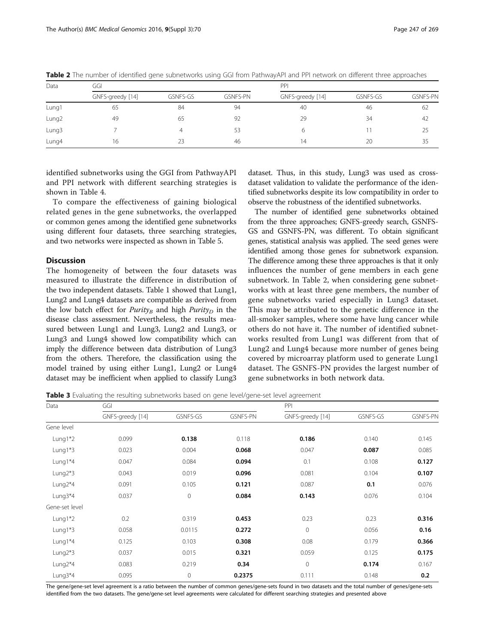| Data              | GGI              |          |                 | PPI              |          |                 |  |
|-------------------|------------------|----------|-----------------|------------------|----------|-----------------|--|
|                   | GNFS-greedy [14] | GSNFS-GS | <b>GSNES-PN</b> | GNFS-greedy [14] | GSNFS-GS | <b>GSNFS-PN</b> |  |
| Lung1             | 65               | 84       | 94              | 40               | 46       | 62              |  |
| Lung <sub>2</sub> | 49               | 65       | 92              | 29               | 34       | 42              |  |
| Lung3             |                  | 4        | 53              |                  |          | 25              |  |
| Lung4             | 16               | 23       | 46              | 14               | 20       | 35              |  |

<span id="page-6-0"></span>Table 2 The number of identified gene subnetworks using GGI from PathwayAPI and PPI network on different three approaches

identified subnetworks using the GGI from PathwayAPI and PPI network with different searching strategies is shown in Table [4](#page-7-0).

To compare the effectiveness of gaining biological related genes in the gene subnetworks, the overlapped or common genes among the identified gene subnetworks using different four datasets, three searching strategies, and two networks were inspected as shown in Table [5](#page-7-0).

## Discussion

The homogeneity of between the four datasets was measured to illustrate the difference in distribution of the two independent datasets. Table [1](#page-5-0) showed that Lung1, Lung2 and Lung4 datasets are compatible as derived from the low batch effect for *Purity<sub>B</sub>* and high *Purity<sub>D</sub>* in the disease class assessment. Nevertheless, the results measured between Lung1 and Lung3, Lung2 and Lung3, or Lung3 and Lung4 showed low compatibility which can imply the difference between data distribution of Lung3 from the others. Therefore, the classification using the model trained by using either Lung1, Lung2 or Lung4 dataset may be inefficient when applied to classify Lung3 dataset. Thus, in this study, Lung3 was used as crossdataset validation to validate the performance of the identified subnetworks despite its low compatibility in order to observe the robustness of the identified subnetworks.

The number of identified gene subnetworks obtained from the three approaches; GNFS-greedy search, GSNFS-GS and GSNFS-PN, was different. To obtain significant genes, statistical analysis was applied. The seed genes were identified among those genes for subnetwork expansion. The difference among these three approaches is that it only influences the number of gene members in each gene subnetwork. In Table 2, when considering gene subnetworks with at least three gene members, the number of gene subnetworks varied especially in Lung3 dataset. This may be attributed to the genetic difference in the all-smoker samples, where some have lung cancer while others do not have it. The number of identified subnetworks resulted from Lung1 was different from that of Lung2 and Lung4 because more number of genes being covered by microarray platform used to generate Lung1 dataset. The GSNFS-PN provides the largest number of gene subnetworks in both network data.

Table 3 Evaluating the resulting subnetworks based on gene level/gene-set level agreement

| Data                 | GGI              |          |                 | PPI              |          |          |
|----------------------|------------------|----------|-----------------|------------------|----------|----------|
|                      | GNFS-greedy [14] | GSNFS-GS | <b>GSNFS-PN</b> | GNFS-greedy [14] | GSNFS-GS | GSNFS-PN |
| Gene level           |                  |          |                 |                  |          |          |
| Lung $1*2$           | 0.099            | 0.138    | 0.118           | 0.186            | 0.140    | 0.145    |
| Lung $1*3$           | 0.023            | 0.004    | 0.068           | 0.047            | 0.087    | 0.085    |
| $Lung1*4$            | 0.047            | 0.084    | 0.094           | 0.1              | 0.108    | 0.127    |
| Lung <sub>2</sub> *3 | 0.043            | 0.019    | 0.096           | 0.081            | 0.104    | 0.107    |
| Lung $2*4$           | 0.091            | 0.105    | 0.121           | 0.087            | 0.1      | 0.076    |
| Lung $3*4$           | 0.037            | $\circ$  | 0.084           | 0.143            | 0.076    | 0.104    |
| Gene-set level       |                  |          |                 |                  |          |          |
| Lung $1*2$           | 0.2              | 0.319    | 0.453           | 0.23             | 0.23     | 0.316    |
| Lung1*3              | 0.058            | 0.0115   | 0.272           | $\mathbf{0}$     | 0.056    | 0.16     |
| Lung $1*4$           | 0.125            | 0.103    | 0.308           | 0.08             | 0.179    | 0.366    |
| Lung $2*3$           | 0.037            | 0.015    | 0.321           | 0.059            | 0.125    | 0.175    |
| Lung <sub>2</sub> *4 | 0.083            | 0.219    | 0.34            | $\mathbf{0}$     | 0.174    | 0.167    |
| Lung $3*4$           | 0.095            | $\circ$  | 0.2375          | 0.111            | 0.148    | 0.2      |

The gene/gene-set level agreement is a ratio between the number of common genes/gene-sets found in two datasets and the total number of genes/gene-sets identified from the two datasets. The gene/gene-set level agreements were calculated for different searching strategies and presented above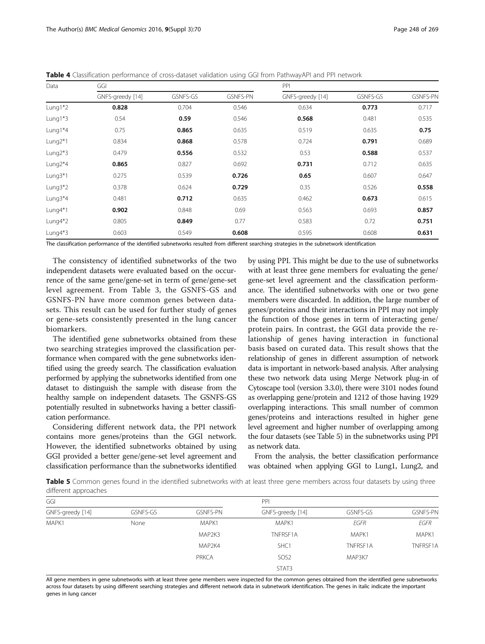<span id="page-7-0"></span>

| <b>Table 4</b> Classification performance of cross-dataset validation using GGI from PathwayAPI and PPI network |  |  |  |  |
|-----------------------------------------------------------------------------------------------------------------|--|--|--|--|
|                                                                                                                 |  |  |  |  |

| Data                 | GGI              |          |                 | PPI              |          |          |
|----------------------|------------------|----------|-----------------|------------------|----------|----------|
|                      | GNFS-greedy [14] | GSNFS-GS | <b>GSNFS-PN</b> | GNFS-greedy [14] | GSNFS-GS | GSNFS-PN |
| Lung1*2              | 0.828            | 0.704    | 0.546           | 0.634            | 0.773    | 0.717    |
| Lung $1*3$           | 0.54             | 0.59     | 0.546           | 0.568            | 0.481    | 0.535    |
| Lung $1*4$           | 0.75             | 0.865    | 0.635           | 0.519            | 0.635    | 0.75     |
| Lung <sub>2</sub> *1 | 0.834            | 0.868    | 0.578           | 0.724            | 0.791    | 0.689    |
| Lung <sub>2</sub> *3 | 0.479            | 0.556    | 0.532           | 0.53             | 0.588    | 0.537    |
| Lung <sub>2</sub> *4 | 0.865            | 0.827    | 0.692           | 0.731            | 0.712    | 0.635    |
| Lung3*1              | 0.275            | 0.539    | 0.726           | 0.65             | 0.607    | 0.647    |
| $Lung3*2$            | 0.378            | 0.624    | 0.729           | 0.35             | 0.526    | 0.558    |
| Lung $3*4$           | 0.481            | 0.712    | 0.635           | 0.462            | 0.673    | 0.615    |
| Lung4*1              | 0.902            | 0.848    | 0.69            | 0.563            | 0.693    | 0.857    |
| Lung $4*2$           | 0.805            | 0.849    | 0.77            | 0.583            | 0.72     | 0.751    |
| $Lung4*3$            | 0.603            | 0.549    | 0.608           | 0.595            | 0.608    | 0.631    |

The classification performance of the identified subnetworks resulted from different searching strategies in the subnetwork identification

The consistency of identified subnetworks of the two independent datasets were evaluated based on the occurrence of the same gene/gene-set in term of gene/gene-set level agreement. From Table [3,](#page-6-0) the GSNFS-GS and GSNFS-PN have more common genes between datasets. This result can be used for further study of genes or gene-sets consistently presented in the lung cancer biomarkers.

The identified gene subnetworks obtained from these two searching strategies improved the classification performance when compared with the gene subnetworks identified using the greedy search. The classification evaluation performed by applying the subnetworks identified from one dataset to distinguish the sample with disease from the healthy sample on independent datasets. The GSNFS-GS potentially resulted in subnetworks having a better classification performance.

Considering different network data, the PPI network contains more genes/proteins than the GGI network. However, the identified subnetworks obtained by using GGI provided a better gene/gene-set level agreement and classification performance than the subnetworks identified

by using PPI. This might be due to the use of subnetworks with at least three gene members for evaluating the gene/ gene-set level agreement and the classification performance. The identified subnetworks with one or two gene members were discarded. In addition, the large number of genes/proteins and their interactions in PPI may not imply the function of those genes in term of interacting gene/ protein pairs. In contrast, the GGI data provide the relationship of genes having interaction in functional basis based on curated data. This result shows that the relationship of genes in different assumption of network data is important in network-based analysis. After analysing these two network data using Merge Network plug-in of Cytoscape tool (version 3.3.0), there were 3101 nodes found as overlapping gene/protein and 1212 of those having 1929 overlapping interactions. This small number of common genes/proteins and interactions resulted in higher gene level agreement and higher number of overlapping among the four datasets (see Table 5) in the subnetworks using PPI as network data.

From the analysis, the better classification performance was obtained when applying GGI to Lung1, Lung2, and

Table 5 Common genes found in the identified subnetworks with at least three gene members across four datasets by using three different approaches

| GGI              |          |                 | PPI              |          |                 |  |
|------------------|----------|-----------------|------------------|----------|-----------------|--|
| GNFS-greedy [14] | GSNFS-GS | <b>GSNFS-PN</b> | GNFS-greedy [14] | GSNFS-GS | <b>GSNFS-PN</b> |  |
| MAPK1            | None     | MAPK1           | MAPK1            | EGFR     | EGFR            |  |
|                  |          | MAP2K3          | TNFRSF1A         | MAPK1    | MAPK1           |  |
|                  |          | MAP2K4          | SHC1             | TNFRSF1A | TNFRSF1A        |  |
|                  |          | PRKCA           | SOS <sub>2</sub> | MAP3K7   |                 |  |
|                  |          |                 | STAT3            |          |                 |  |

All gene members in gene subnetworks with at least three gene members were inspected for the common genes obtained from the identified gene subnetworks across four datasets by using different searching strategies and different network data in subnetwork identification. The genes in italic indicate the important genes in lung cancer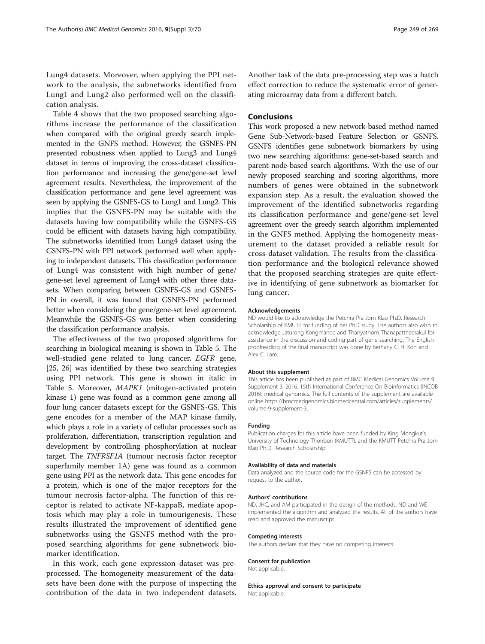Lung4 datasets. Moreover, when applying the PPI network to the analysis, the subnetworks identified from Lung1 and Lung2 also performed well on the classification analysis.

Table [4](#page-7-0) shows that the two proposed searching algorithms increase the performance of the classification when compared with the original greedy search implemented in the GNFS method. However, the GSNFS-PN presented robustness when applied to Lung3 and Lung4 dataset in terms of improving the cross-dataset classification performance and increasing the gene/gene-set level agreement results. Nevertheless, the improvement of the classification performance and gene level agreement was seen by applying the GSNFS-GS to Lung1 and Lung2. This implies that the GSNFS-PN may be suitable with the datasets having low compatibility while the GSNFS-GS could be efficient with datasets having high compatibility. The subnetworks identified from Lung4 dataset using the GSNFS-PN with PPI network performed well when applying to independent datasets. This classification performance of Lung4 was consistent with high number of gene/ gene-set level agreement of Lung4 with other three datasets. When comparing between GSNFS-GS and GSNFS-PN in overall, it was found that GSNFS-PN performed better when considering the gene/gene-set level agreement. Meanwhile the GSNFS-GS was better when considering the classification performance analysis.

The effectiveness of the two proposed algorithms for searching in biological meaning is shown in Table [5](#page-7-0). The well-studied gene related to lung cancer, EGFR gene, [[25, 26](#page-9-0)] was identified by these two searching strategies using PPI network. This gene is shown in italic in Table [5.](#page-7-0) Moreover, MAPK1 (mitogen-activated protein kinase 1) gene was found as a common gene among all four lung cancer datasets except for the GSNFS-GS. This gene encodes for a member of the MAP kinase family, which plays a role in a variety of cellular processes such as proliferation, differentiation, transcription regulation and development by controlling phosphorylation at nuclear target. The TNFRSF1A (tumour necrosis factor receptor superfamily member 1A) gene was found as a common gene using PPI as the network data. This gene encodes for a protein, which is one of the major receptors for the tumour necrosis factor-alpha. The function of this receptor is related to activate NF-kappaB, mediate apoptosis which may play a role in tumourigenesis. These results illustrated the improvement of identified gene subnetworks using the GSNFS method with the proposed searching algorithms for gene subnetwork biomarker identification.

In this work, each gene expression dataset was preprocessed. The homogeneity measurement of the datasets have been done with the purpose of inspecting the contribution of the data in two independent datasets.

Another task of the data pre-processing step was a batch effect correction to reduce the systematic error of generating microarray data from a different batch.

## Conclusions

This work proposed a new network-based method named Gene Sub-Network-based Feature Selection or GSNFS. GSNFS identifies gene subnetwork biomarkers by using two new searching algorithms: gene-set-based search and parent-node-based search algorithms. With the use of our newly proposed searching and scoring algorithms, more numbers of genes were obtained in the subnetwork expansion step. As a result, the evaluation showed the improvement of the identified subnetworks regarding its classification performance and gene/gene-set level agreement over the greedy search algorithm implemented in the GNFS method. Applying the homogeneity measurement to the dataset provided a reliable result for cross-dataset validation. The results from the classification performance and the biological relevance showed that the proposed searching strategies are quite effective in identifying of gene subnetwork as biomarker for lung cancer.

#### Acknowledgements

ND would like to acknowledge the Petchra Pra Jom Klao Ph.D. Research Scholarship of KMUTT for funding of her PhD study. The authors also wish to acknowledge Jaturong Kongmanee and Thanyathorn Thanapattheerakul for assistance in the discussion and coding part of gene searching. The English proofreading of the final manuscript was done by Bethany C. H. Kon and Alex C. Lam.

#### About this supplement

This article has been published as part of BMC Medical Genomics Volume 9 Supplement 3, 2016. 15th International Conference On Bioinformatics (INCOB 2016): medical genomics. The full contents of the supplement are available online [https://bmcmedgenomics.biomedcentral.com/articles/supplements/](https://bmcmedgenomics.biomedcentral.com/articles/supplements/volume-9-supplement-3) [volume-9-supplement-3.](https://bmcmedgenomics.biomedcentral.com/articles/supplements/volume-9-supplement-3)

#### Funding

Publication charges for this article have been funded by King Mongkut's University of Technology Thonburi (KMUTT), and the KMUTT Petchra Pra Jom Klao Ph.D. Research Scholarship.

#### Availability of data and materials

Data analyzed and the source code for the GSNFS can be accessed by request to the author.

#### Authors' contributions

ND, JHC, and AM participated in the design of the methods. ND and WE implemented the algorithm and analyzed the results. All of the authors have read and approved the manuscript.

#### Competing interests

The authors declare that they have no competing interests.

#### Consent for publication

Not applicable.

## Ethics approval and consent to participate

Not applicable.